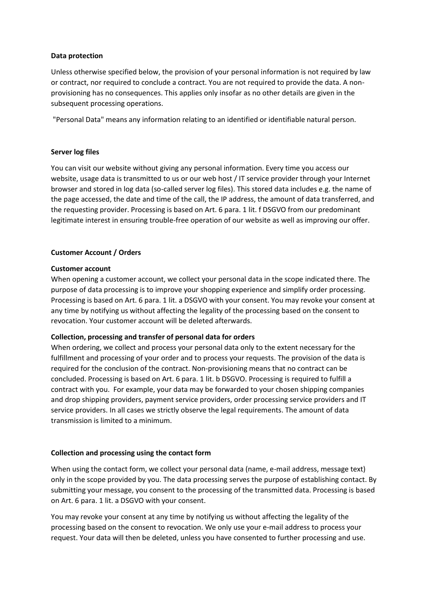## **Data protection**

Unless otherwise specified below, the provision of your personal information is not required by law or contract, nor required to conclude a contract. You are not required to provide the data. A nonprovisioning has no consequences. This applies only insofar as no other details are given in the subsequent processing operations.

"Personal Data" means any information relating to an identified or identifiable natural person.

## **Server log files**

You can visit our website without giving any personal information. Every time you access our website, usage data is transmitted to us or our web host / IT service provider through your Internet browser and stored in log data (so-called server log files). This stored data includes e.g. the name of the page accessed, the date and time of the call, the IP address, the amount of data transferred, and the requesting provider. Processing is based on Art. 6 para. 1 lit. f DSGVO from our predominant legitimate interest in ensuring trouble-free operation of our website as well as improving our offer.

## **Customer Account / Orders**

## **Customer account**

When opening a customer account, we collect your personal data in the scope indicated there. The purpose of data processing is to improve your shopping experience and simplify order processing. Processing is based on Art. 6 para. 1 lit. a DSGVO with your consent. You may revoke your consent at any time by notifying us without affecting the legality of the processing based on the consent to revocation. Your customer account will be deleted afterwards.

# **Collection, processing and transfer of personal data for orders**

When ordering, we collect and process your personal data only to the extent necessary for the fulfillment and processing of your order and to process your requests. The provision of the data is required for the conclusion of the contract. Non-provisioning means that no contract can be concluded. Processing is based on Art. 6 para. 1 lit. b DSGVO. Processing is required to fulfill a contract with you. For example, your data may be forwarded to your chosen shipping companies and drop shipping providers, payment service providers, order processing service providers and IT service providers. In all cases we strictly observe the legal requirements. The amount of data transmission is limited to a minimum.

## **Collection and processing using the contact form**

When using the contact form, we collect your personal data (name, e-mail address, message text) only in the scope provided by you. The data processing serves the purpose of establishing contact. By submitting your message, you consent to the processing of the transmitted data. Processing is based on Art. 6 para. 1 lit. a DSGVO with your consent.

You may revoke your consent at any time by notifying us without affecting the legality of the processing based on the consent to revocation. We only use your e-mail address to process your request. Your data will then be deleted, unless you have consented to further processing and use.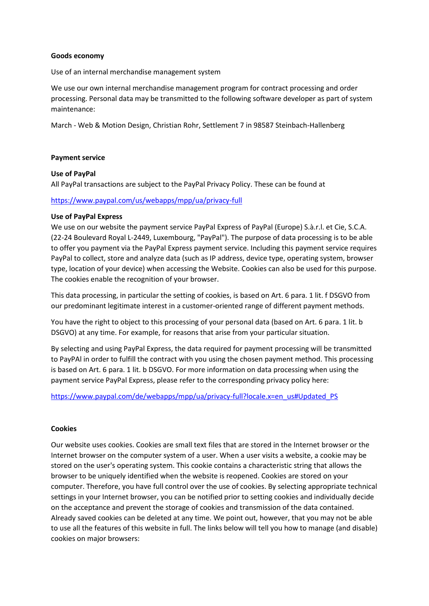## **Goods economy**

Use of an internal merchandise management system

We use our own internal merchandise management program for contract processing and order processing. Personal data may be transmitted to the following software developer as part of system maintenance:

March - Web & Motion Design, Christian Rohr, Settlement 7 in 98587 Steinbach-Hallenberg

#### **Payment service**

#### **Use of PayPal**

All PayPal transactions are subject to the PayPal Privacy Policy. These can be found at

### <https://www.paypal.com/us/webapps/mpp/ua/privacy-full>

#### **Use of PayPal Express**

We use on our website the payment service PayPal Express of PayPal (Europe) S.à.r.l. et Cie, S.C.A. (22-24 Boulevard Royal L-2449, Luxembourg, "PayPal"). The purpose of data processing is to be able to offer you payment via the PayPal Express payment service. Including this payment service requires PayPal to collect, store and analyze data (such as IP address, device type, operating system, browser type, location of your device) when accessing the Website. Cookies can also be used for this purpose. The cookies enable the recognition of your browser.

This data processing, in particular the setting of cookies, is based on Art. 6 para. 1 lit. f DSGVO from our predominant legitimate interest in a customer-oriented range of different payment methods.

You have the right to object to this processing of your personal data (based on Art. 6 para. 1 lit. b DSGVO) at any time. For example, for reasons that arise from your particular situation.

By selecting and using PayPal Express, the data required for payment processing will be transmitted to PayPAl in order to fulfill the contract with you using the chosen payment method. This processing is based on Art. 6 para. 1 lit. b DSGVO. For more information on data processing when using the payment service PayPal Express, please refer to the corresponding privacy policy here:

## [https://www.paypal.com/de/webapps/mpp/ua/privacy-full?locale.x=en\\_us#Updated\\_PS](https://www.paypal.com/de/webapps/mpp/ua/privacy-full?locale.x=en_us#Updated_PS)

## **Cookies**

Our website uses cookies. Cookies are small text files that are stored in the Internet browser or the Internet browser on the computer system of a user. When a user visits a website, a cookie may be stored on the user's operating system. This cookie contains a characteristic string that allows the browser to be uniquely identified when the website is reopened. Cookies are stored on your computer. Therefore, you have full control over the use of cookies. By selecting appropriate technical settings in your Internet browser, you can be notified prior to setting cookies and individually decide on the acceptance and prevent the storage of cookies and transmission of the data contained. Already saved cookies can be deleted at any time. We point out, however, that you may not be able to use all the features of this website in full. The links below will tell you how to manage (and disable) cookies on major browsers: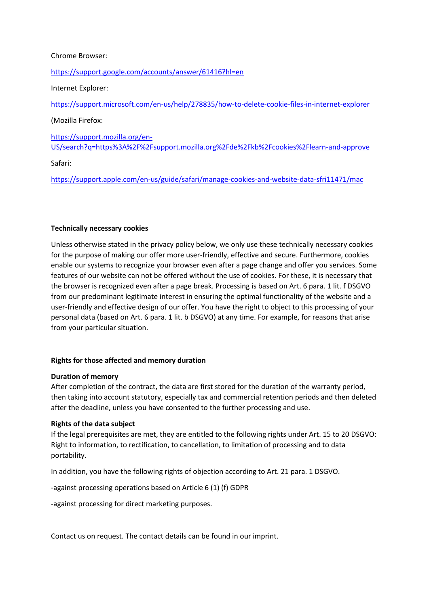## Chrome Browser:

<https://support.google.com/accounts/answer/61416?hl=en>

Internet Explorer:

<https://support.microsoft.com/en-us/help/278835/how-to-delete-cookie-files-in-internet-explorer>

(Mozilla Firefox:

[https://support.mozilla.org/en-](https://support.mozilla.org/en-US/search?q=https%3A%2F%2Fsupport.mozilla.org%2Fde%2Fkb%2Fcookies%2Flearn-and-approve)[US/search?q=https%3A%2F%2Fsupport.mozilla.org%2Fde%2Fkb%2Fcookies%2Flearn-and-approve](https://support.mozilla.org/en-US/search?q=https%3A%2F%2Fsupport.mozilla.org%2Fde%2Fkb%2Fcookies%2Flearn-and-approve)

Safari:

<https://support.apple.com/en-us/guide/safari/manage-cookies-and-website-data-sfri11471/mac>

## **Technically necessary cookies**

Unless otherwise stated in the privacy policy below, we only use these technically necessary cookies for the purpose of making our offer more user-friendly, effective and secure. Furthermore, cookies enable our systems to recognize your browser even after a page change and offer you services. Some features of our website can not be offered without the use of cookies. For these, it is necessary that the browser is recognized even after a page break. Processing is based on Art. 6 para. 1 lit. f DSGVO from our predominant legitimate interest in ensuring the optimal functionality of the website and a user-friendly and effective design of our offer. You have the right to object to this processing of your personal data (based on Art. 6 para. 1 lit. b DSGVO) at any time. For example, for reasons that arise from your particular situation.

## **Rights for those affected and memory duration**

## **Duration of memory**

After completion of the contract, the data are first stored for the duration of the warranty period, then taking into account statutory, especially tax and commercial retention periods and then deleted after the deadline, unless you have consented to the further processing and use.

## **Rights of the data subject**

If the legal prerequisites are met, they are entitled to the following rights under Art. 15 to 20 DSGVO: Right to information, to rectification, to cancellation, to limitation of processing and to data portability.

In addition, you have the following rights of objection according to Art. 21 para. 1 DSGVO.

-against processing operations based on Article 6 (1) (f) GDPR

-against processing for direct marketing purposes.

Contact us on request. The contact details can be found in our imprint.